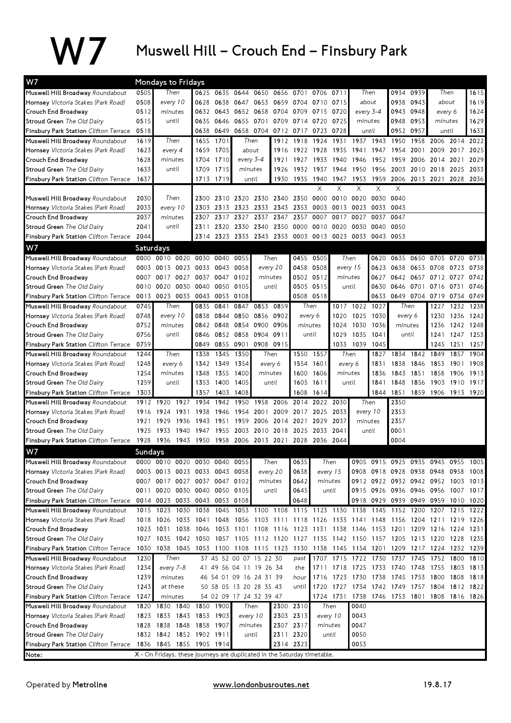## W7 Muswell Hill – Crouch End – Finsbury Park

| W7<br>Mondays to Fridays                     |         |                                                                                           |      |                |                |                                                        |           |           |           |                                              |                |           |                |                 |                                    |           |           |
|----------------------------------------------|---------|-------------------------------------------------------------------------------------------|------|----------------|----------------|--------------------------------------------------------|-----------|-----------|-----------|----------------------------------------------|----------------|-----------|----------------|-----------------|------------------------------------|-----------|-----------|
| Muswell Hill Broadway Roundabout             | 0505    | Then                                                                                      |      | 0625 0635 0644 |                | 0650                                                   | 0656 0701 |           |           | 0706 0711                                    |                | Then      | 0934           | 0939            |                                    | Then      | 1615      |
| <b>Hornsey</b> Victoria Stakes (Park Road)   | 0508    | every 10                                                                                  | 0628 | 0638           | 0647           | 0653                                                   |           | 0659 0704 |           | 0710 0715                                    | about          |           | 0938           | 0943            | about                              |           | 1619      |
| Crouch End Broadway                          | 0512    | minutes                                                                                   | 0632 | 0643           |                | 0652 0658                                              |           | 0704 0709 | 0715      | 0720                                         |                | every 3-4 | 0943           | 0948            | every 6                            |           | 1624      |
| Stroud Green The Old Dairy                   | 0515    | until                                                                                     | 0635 | 0646           | 0655<br>0701   |                                                        |           | 0709 0714 | 0720      | 0725                                         |                | minutes   |                | 0953<br>minutes |                                    |           | 1629      |
| <b>Finsbury Park Station</b> Clifton Terrace | 0518    |                                                                                           | 0638 | 0649           |                | 0658 0704                                              | 0712 0717 |           | 0723      | 0728                                         |                | until     | 0952           | 0957            | until                              |           | 1633      |
| Muswell Hill Broadway Roundabout             | 1619    | Then                                                                                      | 1655 | 1701           |                | Then                                                   |           | 1912 1918 | 1924      | 1931                                         | 1937           | 1943      | 1950           | 1958            | 2006                               | 2014      | 2022      |
| <b>Hornsey</b> Victoria Stakes (Park Road)   | 1623    | every 4                                                                                   | 1659 | 1705           |                | about                                                  | 1916      | 1922      | 1928      | 1935                                         | 1941           | 1947      | 1954           | 2001            | 2009                               | 2017      | 2025      |
| Crouch End Broadway                          | 1628    | minutes                                                                                   | 1704 | 1710           |                | every 3-4                                              | 1921      | 1927      | 1933      | 1940                                         | 1946           | 1952      | 1959           | 2006            | 2014                               | 2021      | 2029      |
| Stroud Green The Old Dairy                   | 1633    | until                                                                                     | 1709 | 1715           |                | minutes                                                | 1926      | 1932      | 1937      | 1944                                         | 1950           | 1956      | 2003           |                 | 2010 2018                          | 2025      | 2033      |
| Finsbury Park Station Clifton Terrace        | 1637    |                                                                                           |      | 1713 1719      |                | until                                                  |           | 1930 1935 | 1940      | 1947                                         | 1953 1959      |           | 2006           |                 | 2013 2021                          | 2028      | 2036      |
|                                              |         |                                                                                           |      |                |                |                                                        |           |           | X         | X                                            | X              | X         | X              |                 |                                    |           |           |
| Muswell Hill Broadway Roundabout             | 2030    | Then                                                                                      | 2300 |                | 2310 2320      | 2330 2340 2350                                         |           |           | 0000      | 0010                                         | 0020           | 0030      | 0040           |                 |                                    |           |           |
| <b>Hornsey</b> Victoria Stakes (Park Road)   | 2033    | every 10                                                                                  | 2303 | 2313           | 2323           | 2333                                                   |           | 2343 2353 | 0003      | 0013                                         | 0023           | 0033      | 0043           |                 |                                    |           |           |
| Crouch End Broadway                          | 2037    | minutes                                                                                   | 2307 | 2317           | 2327           | 2337                                                   | 2347      | 2357      | 0007      | 0017                                         | 0027           | 0037      | 0047           |                 |                                    |           |           |
| Stroud Green The Old Dairy                   | 2041    | until                                                                                     | 2311 |                | 2320 2330 2340 |                                                        | 2350 0000 |           |           | 0010 0020                                    |                | 0030 0040 | 0050           |                 |                                    |           |           |
| Finsbury Park Station Clifton Terrace        | 2044    |                                                                                           |      |                |                | 2314 2323 2333 2343 2353 0003 0013 0023 0033 0043 0053 |           |           |           |                                              |                |           |                |                 |                                    |           |           |
| W7                                           |         | <b>Saturdays</b>                                                                          |      |                |                |                                                        |           |           |           |                                              |                |           |                |                 |                                    |           |           |
| Muswell Hill Broadway Roundabout             |         | 0000 0010 0020                                                                            | 0030 | 0040           | 0055           |                                                        | Then      | 0455      | 0505      |                                              | Then           | 0620      | 0635           |                 | 0650 0705                          | 0720      | 0735      |
| <b>Hornsey</b> Victoria Stakes (Park Road)   |         | 0003 0013 0023                                                                            | 0033 |                | 0043 0058      |                                                        | every 20  |           | 0458 0508 |                                              | every 15       | 0623      | 0638           |                 | 0653 0708                          | 0723      | 0738      |
| Crouch End Broadway                          | 0007    | 0017 0027                                                                                 | 0037 |                | 0047 0102      | minutes                                                |           |           | 0502 0512 | minutes                                      |                | 0627      | 0642 0657 0712 |                 |                                    | 0727      | 0742      |
| Stroud Green The Old Dairy                   | 0010    | 0030<br>0020                                                                              | 0040 | 0050           | 0105           |                                                        | until     | 0505      | 0515      |                                              | until          | 0630      | 0646           |                 | 0701 0716                          | 0731      | 0746      |
| <b>Finsbury Park Station Clifton Terrace</b> |         | 0013 0023 0033                                                                            | 0043 |                | 0053 0108      |                                                        |           |           | 0508 0518 |                                              |                | 0633      | 0649           |                 | 0704 0719                          | 0734 0749 |           |
| Muswell Hill Broadway Roundabout             | 0745    | Then                                                                                      | 0835 | 0841           | 0847           |                                                        | 0853 0859 | Then      |           | 1017                                         | 1022 1027      |           |                | Then            | 1227                               |           | 1232 1238 |
| Hornsey Victoria Stakes (Park Road)          | 0748    | every 10                                                                                  | 0838 | 0844           | 0850           | 0856                                                   | 0902      | every 6   |           | 1020                                         | 1025           | 1030      | every 6        |                 | 1230                               |           | 1236 1242 |
| Crouch End Broadway                          | 0752    | minutes                                                                                   | 0842 | 0848           | 0854           | 0900                                                   | 0906      | minutes   |           | 1024                                         | 1030           | 1036      | minutes        |                 | 1236                               | 1242 1248 |           |
| Stroud Green The Old Dairy                   | 0756    | until                                                                                     | 0846 |                | 0852 0858      | 0904                                                   | 0911      |           | until     | 1029                                         | 1035           | 1041      | until          |                 | 1241                               | 1247 1253 |           |
| Finsbury Park Station Clifton Terrace        | 0759    |                                                                                           | 0849 |                |                | 0855 0901 0908 0915                                    |           |           |           |                                              | 1033 1039 1045 |           |                |                 | 1245                               | 1251 1257 |           |
| Muswell Hill Broadway Roundabout             | 1244    | Then                                                                                      | 1338 | 1345           | 1350           | Then                                                   |           | 1550      | 1557      |                                              | Then           | 1827      | 1834           | 1842            | 1849                               | 1857      | 1904      |
| <b>Hornsey</b> Victoria Stakes (Park Road)   | 1248    | every 6                                                                                   | 1342 | 1349           | 1354           |                                                        | every 6   | 1554      | 1601      |                                              | every 6        | 1831      | 1838           | 1846            | 1853                               | 1901      | 1908      |
| Crouch End Broadway                          | 1254    | minutes                                                                                   | 1348 | 1355           | 1400           | minutes                                                |           | 1600      | 1606      | minutes                                      |                | 1836      | 1843           | 1851            | 1858                               | 1906      | 1913      |
| Stroud Green The Old Dairy                   | 1259    | until                                                                                     | 1353 | 1400           | 1405           |                                                        | until     | 1605      | 1611      |                                              | until          | 1841      | 1848           | 1856            | 1903                               | 1910      | 1917      |
| <b>Finsbury Park Station</b> Clifton Terrace | 1303    |                                                                                           | 1357 | 1403           | 1408           |                                                        |           | 1608      | 1614      |                                              |                | 1844      | 1851           |                 | 1859 1906 1913 1920                |           |           |
| Muswell Hill Broadway Roundabout             |         | 1912 1920<br>1927                                                                         | 1934 | 1942           | 1950           | 1958                                                   | 2006      | 2014      | 2022      | 2030                                         |                | Then      | 2350           |                 |                                    |           |           |
| <b>Hornsey</b> Victoria Stakes (Park Road)   |         | 1916 1924<br>1931                                                                         | 1938 | 1946           | 1954           | 2001                                                   |           | 2009 2017 | 2025      | 2033                                         | every 10       |           | 2353           |                 |                                    |           |           |
| Crouch End Broadway                          |         | 1921 1929<br>1936                                                                         | 1943 | 1951           | 1959           | 2006                                                   | 2014 2021 |           | 2029      | 2037                                         | minutes        |           | 2357           |                 |                                    |           |           |
| Stroud Green The Old Dairy                   |         | 1925 1933<br>1940                                                                         | 1947 | 1955           | 2003           | 2010                                                   |           | 2018 2025 | 2033      | 2041                                         |                | until     | 0001           |                 |                                    |           |           |
| Finsbury Park Station Clifton Terrace        |         | 1928 1936 1943 1950 1958 2006 2013 2021 2028 2036 2044                                    |      |                |                |                                                        |           |           |           |                                              |                |           | 0004           |                 |                                    |           |           |
| W7                                           | Sundays |                                                                                           |      |                |                |                                                        |           |           |           |                                              |                |           |                |                 |                                    |           |           |
| Muswell Hill Broadway Roundabout             |         | 0000 0010 0020 0030 0040 0055                                                             |      |                |                |                                                        | Then      | 0635      |           | Then                                         |                |           |                |                 | 0905 0915 0925 0935 0945 0955      |           | 1005      |
| <b>Hornsey</b> Victoria Stakes (Park Road)   |         | 0003 0013 0023 0033 0043 0058                                                             |      |                |                | every 20                                               |           | 0638      |           | every 15                                     |                |           |                |                 | 0908 0918 0928 0938 0948 0958      |           | 1008      |
| Crouch End Broadway                          |         | 0007 0017 0027 0037 0047 0102                                                             |      |                |                | minutes                                                |           | 0642      |           | minutes                                      |                |           |                |                 | 0912 0922 0932 0942 0952 1003 1013 |           |           |
| Stroud Green The Old Dairy                   |         | 0011 0020 0030 0040 0050 0105                                                             |      |                |                |                                                        | until     | 0645      |           | until                                        |                |           |                |                 | 0915 0926 0936 0946 0956 1007 1017 |           |           |
| <b>Finsbury Park Station</b> Clifton Terrace |         | 0014 0023 0033 0043 0053 0108                                                             |      |                |                |                                                        |           | 0648      |           |                                              |                |           |                |                 | 0918 0929 0939 0949 0959 1010 1020 |           |           |
| Muswell Hill Broadway Roundabout             |         | 1015 1023<br>1030                                                                         | 1038 |                |                | 1045 1053 1100 1108 1115 1123 1130 1138                |           |           |           |                                              |                | 1145      | 1152           | 1200            | 1207                               | 1215      | 1222      |
| <b>Hornsey</b> Victoria Stakes (Park Road)   |         | 1018 1026 1033 1041 1048 1056 1103 1111 1118 1126 1133 1141 1148 1156 1204 1211 1219 1226 |      |                |                |                                                        |           |           |           |                                              |                |           |                |                 |                                    |           |           |
| Crouch End Broadway                          |         | 1023 1031 1038 1046 1053 1101 1108 1116 1123 1131 1138 1146 1153 1201 1209 1216 1224 1231 |      |                |                |                                                        |           |           |           |                                              |                |           |                |                 |                                    |           |           |
| Stroud Green The Old Dairy                   |         | 1027 1035 1042 1050 1057 1105 1112 1120 1127 1135 1142 1150 1157 1205 1213 1220 1228 1235 |      |                |                |                                                        |           |           |           |                                              |                |           |                |                 |                                    |           |           |
| Finsbury Park Station Clifton Terrace        |         | 1030 1038 1045 1053 1100 1108 1115 1123 1130                                              |      |                |                |                                                        |           |           |           | 1138 1145 1154 1201 1209 1217 1224 1232 1239 |                |           |                |                 |                                    |           |           |
| Muswell Hill Broadway Roundabout             | 1230    | Then                                                                                      |      |                |                | 37 45 52 00 07 15 22 30                                |           | past      |           | 1707 1715 1722 1730 1737 1745 1752 1800 1810 |                |           |                |                 |                                    |           |           |
| Hornsey Victoria Stakes (Park Road)          | 1234    | every 7-8                                                                                 |      |                |                | 41 49 56 04 11 19 26 34                                |           | the       |           | 1711 1718 1725 1733 1740 1748 1755 1803 1813 |                |           |                |                 |                                    |           |           |
| Crouch End Broadway                          | 1239    | minutes                                                                                   |      |                |                | 46 54 01 09 16 24 31 39                                |           | hour      |           | 1716 1723 1730 1738 1745 1753 1800           |                |           |                |                 |                                    |           | 1808 1818 |
| Stroud Green The Old Dairy                   | 1243    | at these                                                                                  |      |                |                | 50 58 05 13 20 28 35 43                                |           | until     |           | 1720 1727 1734 1742 1749 1757 1804 1812 1822 |                |           |                |                 |                                    |           |           |
| Finsbury Park Station Clifton Terrace        | 1247    | minutes                                                                                   |      |                |                | 54 02 09 17 24 32 39 47                                |           |           |           | 1724 1731 1738 1746 1753 1801 1808 1816 1826 |                |           |                |                 |                                    |           |           |
| Muswell Hill Broadway Roundabout             | 1820    | 1830 1840                                                                                 |      | 1850 1900      |                | Then                                                   |           | 2300 2310 |           | Then                                         | 0040           |           |                |                 |                                    |           |           |
| Hornsey Victoria Stakes (Park Road)          |         | 1823 1833 1843 1853 1903                                                                  |      |                |                | every 10                                               |           | 2303 2313 |           | every 10                                     | 0043           |           |                |                 |                                    |           |           |
| Crouch End Broadway                          |         | 1828 1838 1848 1858 1907                                                                  |      |                |                | minutes                                                |           | 2307 2317 |           | minutes                                      | 0047           |           |                |                 |                                    |           |           |
| Stroud Green The Old Dairy                   |         | 1832 1842 1852 1902 1911                                                                  |      |                |                | until                                                  |           | 2311 2320 |           | until                                        | 0050           |           |                |                 |                                    |           |           |
| <b>Finsbury Park Station</b> Clifton Terrace |         | 1836 1845 1855 1905 1914                                                                  |      |                |                |                                                        |           | 2314 2323 |           |                                              | 0053           |           |                |                 |                                    |           |           |
| Note:                                        |         | X - On Fridays, these journeys are duplicated in the Saturday timetable.                  |      |                |                |                                                        |           |           |           |                                              |                |           |                |                 |                                    |           |           |